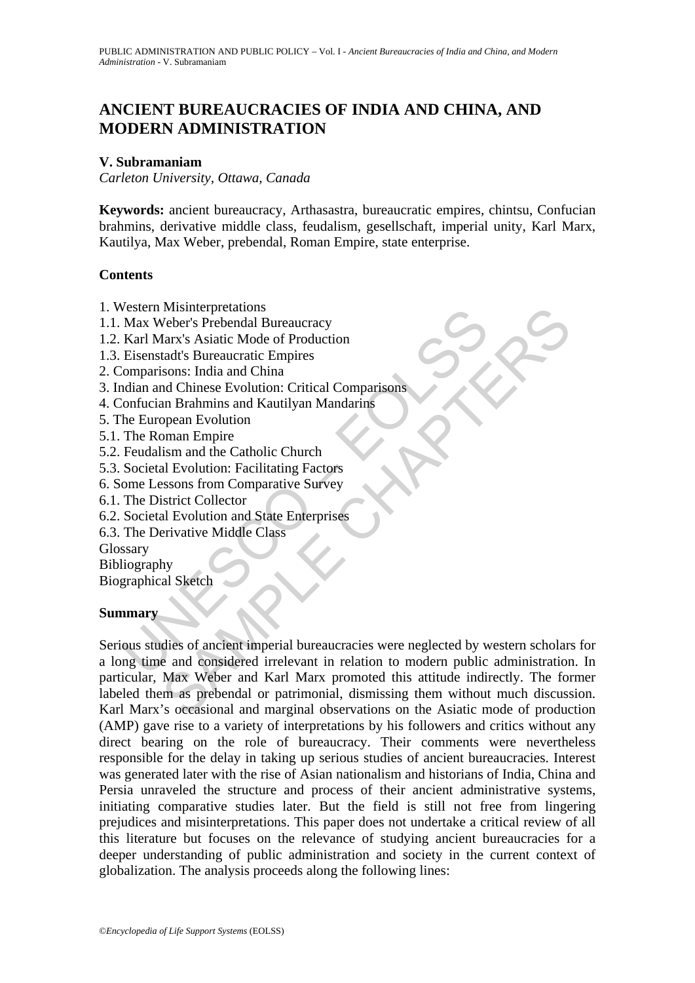# **ANCIENT BUREAUCRACIES OF INDIA AND CHINA, AND MODERN ADMINISTRATION**

#### **V. Subramaniam**

*Carleton University, Ottawa, Canada* 

**Keywords:** ancient bureaucracy, Arthasastra, bureaucratic empires, chintsu, Confucian brahmins, derivative middle class, feudalism, gesellschaft, imperial unity, Karl Marx, Kautilya, Max Weber, prebendal, Roman Empire, state enterprise.

#### **Contents**

- 1. Western Misinterpretations
- 1.1. Max Weber's Prebendal Bureaucracy
- 1.2. Karl Marx's Asiatic Mode of Production
- 1.3. Eisenstadt's Bureaucratic Empires
- 2. Comparisons: India and China
- 3. Indian and Chinese Evolution: Critical Comparisons
- 4. Confucian Brahmins and Kautilyan Mandarins
- 5. The European Evolution
- 5.1. The Roman Empire
- 5.2. Feudalism and the Catholic Church
- 5.3. Societal Evolution: Facilitating Factors
- 6. Some Lessons from Comparative Survey
- 6.1. The District Collector
- 6.2. Societal Evolution and State Enterprises
- 6.3. The Derivative Middle Class
- Glossary

Bibliography

Biographical Sketch

### **Summary**

Frame Musilenprediations<br>
Max Weber's Prebadal Bureaucracy<br>
Karl Marx's Asiatic Mode of Production<br>
Eisenstadt's Bureaucratic Empires<br>
comparisons: India and China<br>
Indian and Chinese Evolution: Critical Comparisons<br>
confu Misinterpretations<br>
Veber's Prebendal Bureaucracy<br>
Veber's Prebendal Bureaucracy<br>
tarx's Asiatic Mode of Production<br>
tark's Bureaucratic Empires<br>
and Chinese Evolution: Critical Comparisons<br>
an Brahmins and Kautilyan Manda Serious studies of ancient imperial bureaucracies were neglected by western scholars for a long time and considered irrelevant in relation to modern public administration. In particular, Max Weber and Karl Marx promoted this attitude indirectly. The former labeled them as prebendal or patrimonial, dismissing them without much discussion. Karl Marx's occasional and marginal observations on the Asiatic mode of production (AMP) gave rise to a variety of interpretations by his followers and critics without any direct bearing on the role of bureaucracy. Their comments were nevertheless responsible for the delay in taking up serious studies of ancient bureaucracies. Interest was generated later with the rise of Asian nationalism and historians of India, China and Persia unraveled the structure and process of their ancient administrative systems, initiating comparative studies later. But the field is still not free from lingering prejudices and misinterpretations. This paper does not undertake a critical review of all this literature but focuses on the relevance of studying ancient bureaucracies for a deeper understanding of public administration and society in the current context of globalization. The analysis proceeds along the following lines: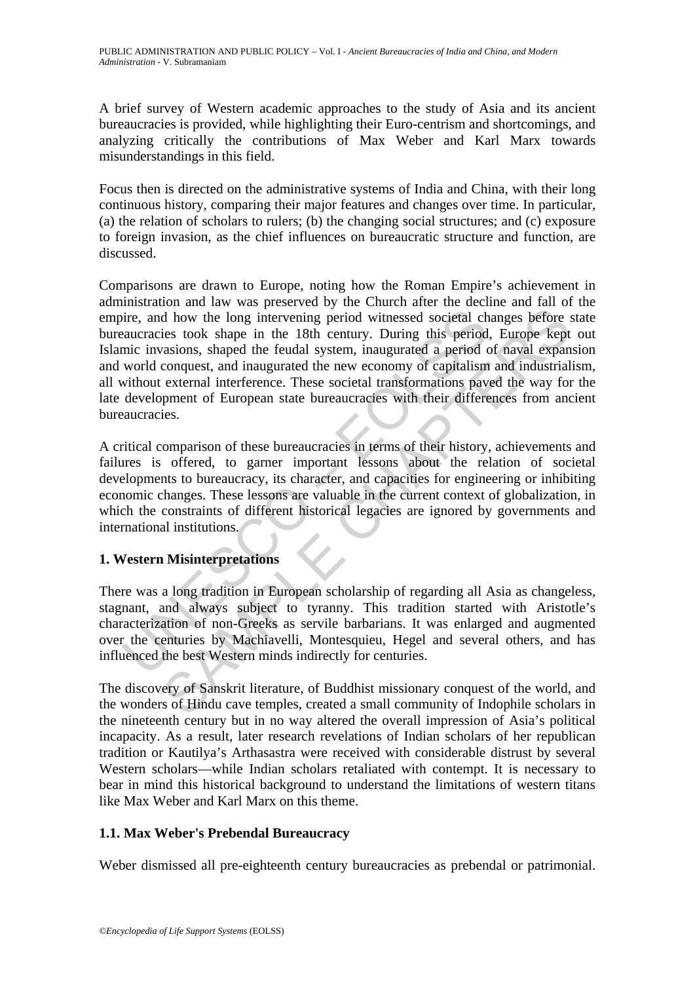A brief survey of Western academic approaches to the study of Asia and its ancient bureaucracies is provided, while highlighting their Euro-centrism and shortcomings, and analyzing critically the contributions of Max Weber and Karl Marx towards misunderstandings in this field.

Focus then is directed on the administrative systems of India and China, with their long continuous history, comparing their major features and changes over time. In particular, (a) the relation of scholars to rulers; (b) the changing social structures; and (c) exposure to foreign invasion, as the chief influences on bureaucratic structure and function, are discussed.

ire, and how the long intervening period witnessed societal cheaucracies took shape in the 18th century. During this period mic invasions, shaped the feudal system, inaugurated a period cworld conquest, and inaugurated the and the long intervening period witnessed societal changes before sign to the long intervening period witnessed societal changes before signs took shape in the 18th century. During this period, Europe kept is took shape th Comparisons are drawn to Europe, noting how the Roman Empire's achievement in administration and law was preserved by the Church after the decline and fall of the empire, and how the long intervening period witnessed societal changes before state bureaucracies took shape in the 18th century. During this period, Europe kept out Islamic invasions, shaped the feudal system, inaugurated a period of naval expansion and world conquest, and inaugurated the new economy of capitalism and industrialism, all without external interference. These societal transformations paved the way for the late development of European state bureaucracies with their differences from ancient bureaucracies.

A critical comparison of these bureaucracies in terms of their history, achievements and failures is offered, to garner important lessons about the relation of societal developments to bureaucracy, its character, and capacities for engineering or inhibiting economic changes. These lessons are valuable in the current context of globalization, in which the constraints of different historical legacies are ignored by governments and international institutions.

## **1. Western Misinterpretations**

There was a long tradition in European scholarship of regarding all Asia as changeless, stagnant, and always subject to tyranny. This tradition started with Aristotle's characterization of non-Greeks as servile barbarians. It was enlarged and augmented over the centuries by Machiavelli, Montesquieu, Hegel and several others, and has influenced the best Western minds indirectly for centuries.

The discovery of Sanskrit literature, of Buddhist missionary conquest of the world, and the wonders of Hindu cave temples, created a small community of Indophile scholars in the nineteenth century but in no way altered the overall impression of Asia's political incapacity. As a result, later research revelations of Indian scholars of her republican tradition or Kautilya's Arthasastra were received with considerable distrust by several Western scholars—while Indian scholars retaliated with contempt. It is necessary to bear in mind this historical background to understand the limitations of western titans like Max Weber and Karl Marx on this theme.

## **1.1. Max Weber's Prebendal Bureaucracy**

Weber dismissed all pre-eighteenth century bureaucracies as prebendal or patrimonial.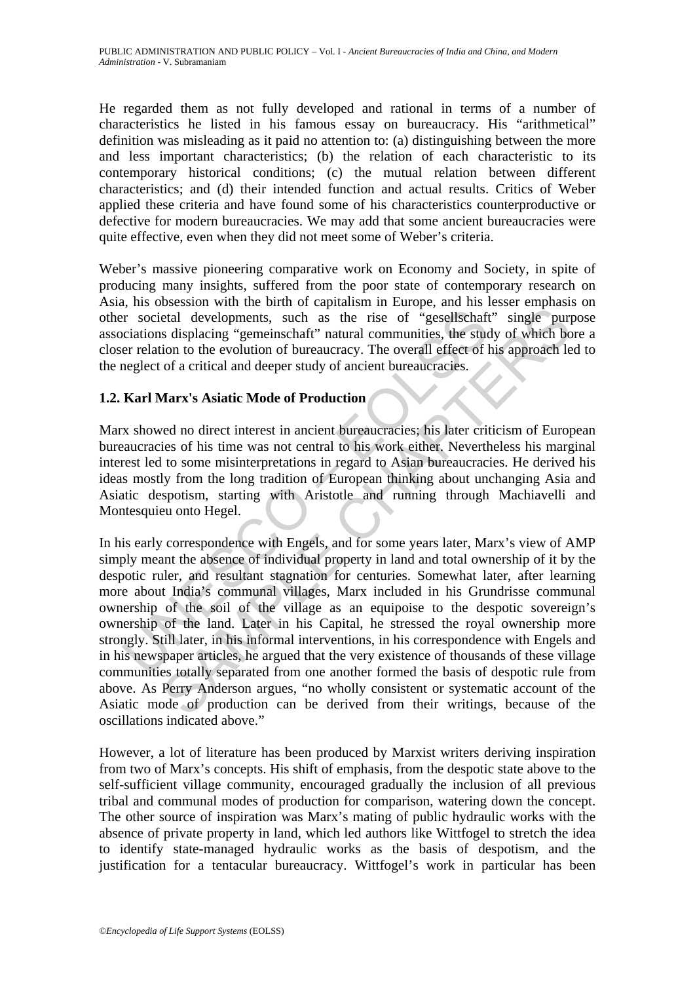He regarded them as not fully developed and rational in terms of a number of characteristics he listed in his famous essay on bureaucracy. His "arithmetical" definition was misleading as it paid no attention to: (a) distinguishing between the more and less important characteristics; (b) the relation of each characteristic to its contemporary historical conditions; (c) the mutual relation between different characteristics; and (d) their intended function and actual results. Critics of Weber applied these criteria and have found some of his characteristics counterproductive or defective for modern bureaucracies. We may add that some ancient bureaucracies were quite effective, even when they did not meet some of Weber's criteria.

Weber's massive pioneering comparative work on Economy and Society, in spite of producing many insights, suffered from the poor state of contemporary research on Asia, his obsession with the birth of capitalism in Europe, and his lesser emphasis on other societal developments, such as the rise of "gesellschaft" single purpose associations displacing "gemeinschaft" natural communities, the study of which bore a closer relation to the evolution of bureaucracy. The overall effect of his approach led to the neglect of a critical and deeper study of ancient bureaucracies.

### **1.2. Karl Marx's Asiatic Mode of Production**

Marx showed no direct interest in ancient bureaucracies; his later criticism of European bureaucracies of his time was not central to his work either. Nevertheless his marginal interest led to some misinterpretations in regard to Asian bureaucracies. He derived his ideas mostly from the long tradition of European thinking about unchanging Asia and Asiatic despotism, starting with Aristotle and running through Machiavelli and Montesquieu onto Hegel.

The societal developments, such as the rise of "gesellschaft"<br>ciations displacing "gemeinschaft" natural communities, the student relation to the evolution of bureaucracy. The overall effect of l<br>neglect of a critical and beta developments, such as the rise of "gesellschaft" single purpose and developments, such as the rise of "gesellschaft" single purpose and deeper study of ancient hureaucracies.<br> **Marx's Asiatic Mode of Production**<br>
cel In his early correspondence with Engels, and for some years later, Marx's view of AMP simply meant the absence of individual property in land and total ownership of it by the despotic ruler, and resultant stagnation for centuries. Somewhat later, after learning more about India's communal villages, Marx included in his Grundrisse communal ownership of the soil of the village as an equipoise to the despotic sovereign's ownership of the land. Later in his Capital, he stressed the royal ownership more strongly. Still later, in his informal interventions, in his correspondence with Engels and in his newspaper articles, he argued that the very existence of thousands of these village communities totally separated from one another formed the basis of despotic rule from above. As Perry Anderson argues, "no wholly consistent or systematic account of the Asiatic mode of production can be derived from their writings, because of the oscillations indicated above."

However, a lot of literature has been produced by Marxist writers deriving inspiration from two of Marx's concepts. His shift of emphasis, from the despotic state above to the self-sufficient village community, encouraged gradually the inclusion of all previous tribal and communal modes of production for comparison, watering down the concept. The other source of inspiration was Marx's mating of public hydraulic works with the absence of private property in land, which led authors like Wittfogel to stretch the idea to identify state-managed hydraulic works as the basis of despotism, and the justification for a tentacular bureaucracy. Wittfogel's work in particular has been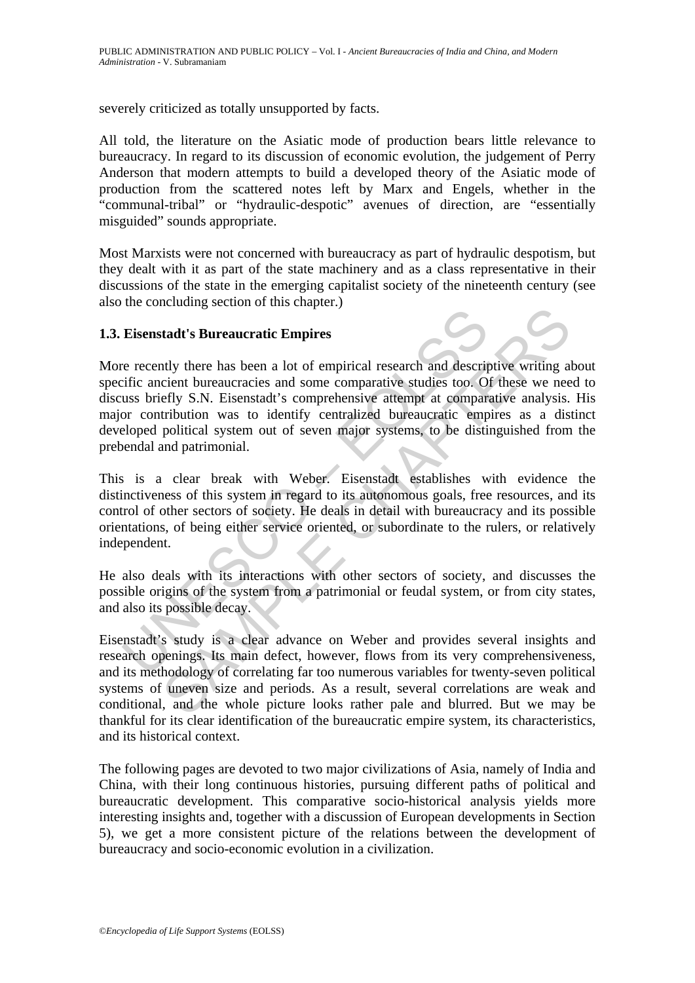severely criticized as totally unsupported by facts.

All told, the literature on the Asiatic mode of production bears little relevance to bureaucracy. In regard to its discussion of economic evolution, the judgement of Perry Anderson that modern attempts to build a developed theory of the Asiatic mode of production from the scattered notes left by Marx and Engels, whether in the "communal-tribal" or "hydraulic-despotic" avenues of direction, are "essentially misguided" sounds appropriate.

Most Marxists were not concerned with bureaucracy as part of hydraulic despotism, but they dealt with it as part of the state machinery and as a class representative in their discussions of the state in the emerging capitalist society of the nineteenth century (see also the concluding section of this chapter.)

#### **1.3. Eisenstadt's Bureaucratic Empires**

**Eisenstadt's Bureaucratic Empires**<br>
re recently there has been a lot of empirical research and descript<br>
reficience and the term bureaucracies and some comparative studies too. O<br>
ous briefly S.N. Eisenstadt's comprehensi Example Sureaucratic Empires<br>
Inty there has been a lot of empirical research and descriptive writing a<br>
cient bureaucracies and some comparative studies too. Of these we nee<br>
fly S.N. Eisenstadt's comprehensive attempt at More recently there has been a lot of empirical research and descriptive writing about specific ancient bureaucracies and some comparative studies too. Of these we need to discuss briefly S.N. Eisenstadt's comprehensive attempt at comparative analysis. His major contribution was to identify centralized bureaucratic empires as a distinct developed political system out of seven major systems, to be distinguished from the prebendal and patrimonial.

This is a clear break with Weber. Eisenstadt establishes with evidence the distinctiveness of this system in regard to its autonomous goals, free resources, and its control of other sectors of society. He deals in detail with bureaucracy and its possible orientations, of being either service oriented, or subordinate to the rulers, or relatively independent.

He also deals with its interactions with other sectors of society, and discusses the possible origins of the system from a patrimonial or feudal system, or from city states, and also its possible decay.

Eisenstadt's study is a clear advance on Weber and provides several insights and research openings. Its main defect, however, flows from its very comprehensiveness, and its methodology of correlating far too numerous variables for twenty-seven political systems of uneven size and periods. As a result, several correlations are weak and conditional, and the whole picture looks rather pale and blurred. But we may be thankful for its clear identification of the bureaucratic empire system, its characteristics, and its historical context.

The following pages are devoted to two major civilizations of Asia, namely of India and China, with their long continuous histories, pursuing different paths of political and bureaucratic development. This comparative socio-historical analysis yields more interesting insights and, together with a discussion of European developments in Section 5), we get a more consistent picture of the relations between the development of bureaucracy and socio-economic evolution in a civilization.